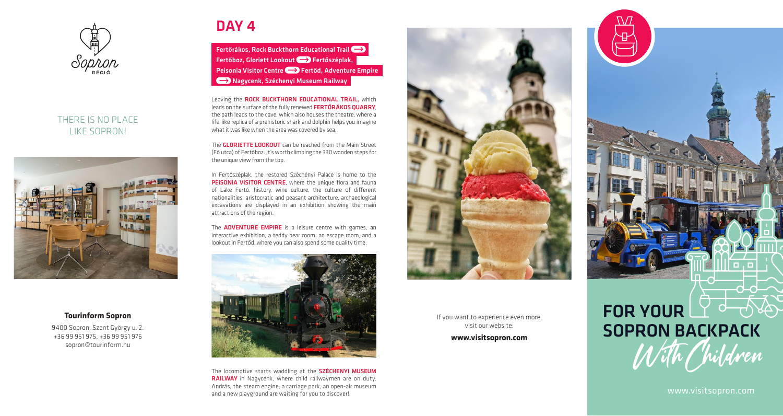

#### THERE IS NO PLACE LIKE SOPRON!



#### **Tourinform Sopron**

9400 Sopron, Szent György u. 2. +36 99 951 975, +36 99 951 976 sopron@tourinform.hu

## DAY<sub>4</sub>

Fertőrákos, Rock Buckthorn Educational Trail Fertőboz, Gloriett Lookout  $\implies$  Fertőszéplak, Peisonia Visitor Centre (- > Fertőd, Adventure Empire Nagycenk, Széchenyi Museum Railway

Leaving the ROCK BUCKTHORN EDUCATIONAL TRAIL, which leads on the surface of the fully renewed **FERTŐRÁKOS QUARRY**, the path leads to the cave, which also houses the theatre, where a life-like replica of a prehistoric shark and dolphin helps you imagine what it was like when the area was covered by sea.

The **GLORIETTE LOOKOUT** can be reached from the Main Street (Fő utca) of Fertőboz. It's worth climbing the 330 wooden steps for the unique view from the top.

In Fertőszéplak, the restored Széchényi Palace is home to the PEISONIA VISITOR CENTRE, where the unique flora and fauna of Lake Fertő, history, wine culture, the culture of different nationalities, aristocratic and peasant architecture, archaeological excavations are displayed in an exhibition showing the main attractions of the region.

The **ADVENTURE EMPIRE** is a leisure centre with games, an interactive exhibition, a teddy bear room, an escape room, and a lookout in Fertőd, where you can also spend some quality time.



The locomotive starts waddling at the **SZÉCHENYI MUSEUM** RAILWAY in Nagycenk, where child railwaymen are on duty. András, the steam engine, a carriage park, an open-air museum and a new playground are waiting for you to discover!



If you want to experience even more, visit our website:

**www.visitsopron.com** 

# FOR YOUR LY de designed to the SOPRON BACKPACK With Children

www.visitsopron.com